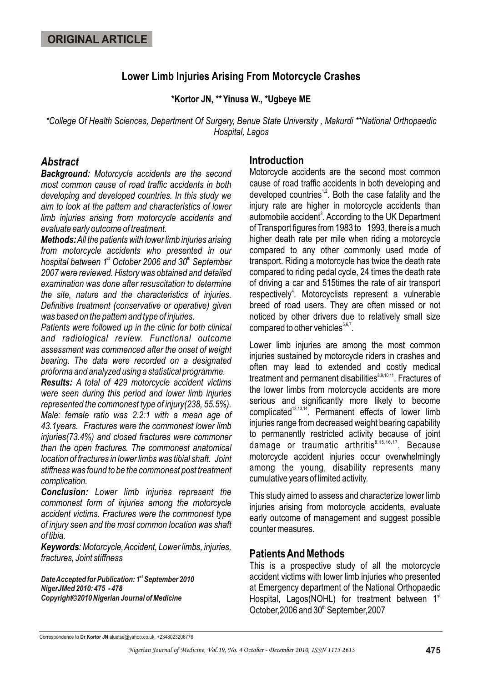# **Lower Limb Injuries Arising From Motorcycle Crashes**

### **\*Kortor JN, \*\*Yinusa W., \*Ugbeye ME**

*\*College Of Health Sciences, Department Of Surgery, Benue State University , Makurdi \*\*National Orthopaedic Hospital, Lagos*

### *Abstract*

*Background: Motorcycle accidents are the second most common cause of road traffic accidents in both developing and developed countries. In this study we aim to look at the pattern and characteristics of lower limb injuries arising from motorcycle accidents and evaluate early outcome of treatment.* 

*Methods:All the patients with lower limb injuries arising from motorcycle accidents who presented in our hospital between 1<sup>st</sup> October 2006 and 30<sup>th</sup> September 2007 were reviewed. History was obtained and detailed examination was done after resuscitation to determine the site, nature and the characteristics of injuries. Definitive treatment (conservative or operative) given was based on the pattern and type of injuries.* 

*Patients were followed up in the clinic for both clinical and radiological review. Functional outcome assessment was commenced after the onset of weight bearing. The data were recorded on a designated proforma and analyzed using a statistical programme.* 

*Results: A total of 429 motorcycle accident victims were seen during this period and lower limb injuries represented the commonest type of injury(238, 55.5%). Male: female ratio was 2.2:1 with a mean age of 43.1years. Fractures were the commonest lower limb injuries(73.4%) and closed fractures were commoner than the open fractures. The commonest anatomical location of fractures in lower limbs was tibial shaft. Joint stiffness was found to be the commonest post treatment complication.* 

*Conclusion: Lower limb injuries represent the commonest form of injuries among the motorcycle accident victims. Fractures were the commonest type of injury seen and the most common location was shaft of tibia.* 

*Keywords: Motorcycle, Accident, Lower limbs, injuries, fractures, Joint stiffness*

**Date Accepted for Publication: 1st September 2010** *NigerJMed 2010: 475 - 478 Copyright©2010 Nigerian Journal of Medicine*

## **Introduction**

Motorcycle accidents are the second most common cause of road traffic accidents in both developing and developed countries<sup> $1,2$ </sup>. Both the case fatality and the injury rate are higher in motorcycle accidents than automobile accident<sup>3</sup>. According to the UK Department of Transport figures from 1983 to 1993, there is a much higher death rate per mile when riding a motorcycle compared to any other commonly used mode of transport. Riding a motorcycle has twice the death rate compared to riding pedal cycle, 24 times the death rate of driving a car and 515times the rate of air transport respectively<sup>4</sup>. Motorcyclists represent a vulnerable breed of road users. They are often missed or not noticed by other drivers due to relatively small size compared to other vehicles $5,6,7$ .

Lower limb injuries are among the most common injuries sustained by motorcycle riders in crashes and often may lead to extended and costly medical treatment and permanent disabilities<sup>8,9,10,11</sup>. Fractures of the lower limbs from motorcycle accidents are more serious and significantly more likely to become  $12,13,14$  Permanent effects of lower limb injuries range from decreased weight bearing capability to permanently restricted activity because of joint damage or traumatic arthritis  $8,15,16,17$ . Because motorcycle accident injuries occur overwhelmingly among the young, disability represents many cumulative years of limited activity.

This study aimed to assess and characterize lower limb injuries arising from motorcycle accidents, evaluate early outcome of management and suggest possible counter measures.

## **Patients And Methods**

This is a prospective study of all the motorcycle accident victims with lower limb injuries who presented at Emergency department of the National Orthopaedic Hospital, Lagos(NOHL) for treatment between  $1<sup>st</sup>$ October, 2006 and 30<sup>th</sup> September, 2007

Correspondence to **Dr Kortor JN** aluetse@yahoo.co.uk, +2348023206776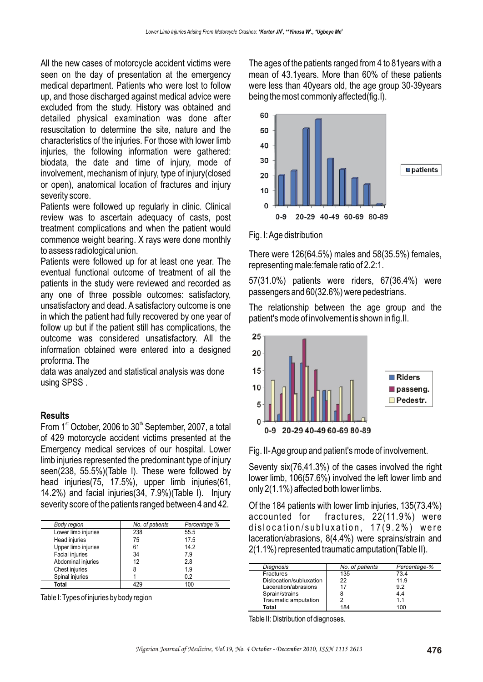All the new cases of motorcycle accident victims were seen on the day of presentation at the emergency medical department. Patients who were lost to follow up, and those discharged against medical advice were excluded from the study. History was obtained and detailed physical examination was done after resuscitation to determine the site, nature and the characteristics of the injuries. For those with lower limb injuries, the following information were gathered: biodata, the date and time of injury, mode of involvement, mechanism of injury, type of injury(closed or open), anatomical location of fractures and injury severity score.

Patients were followed up regularly in clinic. Clinical review was to ascertain adequacy of casts, post treatment complications and when the patient would commence weight bearing. X rays were done monthly to assess radiological union.

Patients were followed up for at least one year. The eventual functional outcome of treatment of all the patients in the study were reviewed and recorded as any one of three possible outcomes: satisfactory, unsatisfactory and dead. A satisfactory outcome is one in which the patient had fully recovered by one year of follow up but if the patient still has complications, the outcome was considered unsatisfactory. All the information obtained were entered into a designed proforma. The

data was analyzed and statistical analysis was done using SPSS .

### **Results**

From 1<sup>st</sup> October, 2006 to  $30<sup>th</sup>$  September, 2007, a total of 429 motorcycle accident victims presented at the Emergency medical services of our hospital. Lower limb injuries represented the predominant type of injury seen(238, 55.5%)(Table I). These were followed by head injuries(75, 17.5%), upper limb injuries(61, 14.2%) and facial injuries(34, 7.9%)(Table I). Injury severity score of the patients ranged between 4 and 42.

| Body region         | No. of patients | Percentage % |
|---------------------|-----------------|--------------|
| Lower limb injuries | 238             | 55.5         |
| Head injuries       | 75              | 17.5         |
| Upper limb injuries | 61              | 14.2         |
| Facial injuries     | 34              | 7.9          |
| Abdominal injuries  | 12              | 2.8          |
| Chest injuries      | 8               | 1.9          |
| Spinal injuries     |                 | 0.2          |
| Total               | 429             | 100          |

Table I: Types of injuries by body region

The ages of the patients ranged from 4 to 81years with a mean of 43.1years. More than 60% of these patients were less than 40years old, the age group 30-39years being the most commonly affected(fig.I).



Fig. I: Age distribution

There were 126(64.5%) males and 58(35.5%) females, representing male:female ratio of 2.2:1.

57(31.0%) patients were riders, 67(36.4%) were passengers and 60(32.6%) were pedestrians.

The relationship between the age group and the patient's mode of involvement is shown in fig.II.



Fig. II- Age group and patient's mode of involvement.

Seventy six(76,41.3%) of the cases involved the right lower limb, 106(57.6%) involved the left lower limb and only 2(1.1%) affected both lower limbs.

Of the 184 patients with lower limb injuries, 135(73.4%) accounted for fractures, 22(11.9%) were dislocation/subluxation, 17(9.2%) were laceration/abrasions, 8(4.4%) were sprains/strain and 2(1.1%) represented traumatic amputation(Table II).

| Diagnosis               | No. of patients | Percentage-% |
|-------------------------|-----------------|--------------|
| <b>Fractures</b>        | 135             | 734          |
| Dislocation/subluxation | 22              | 11.9         |
| Laceration/abrasions    | 17              | 92           |
| Sprain/strains          |                 | 4.4          |
| Traumatic amputation    |                 | 11           |
| Total                   |                 |              |

Table II: Distribution of diagnoses.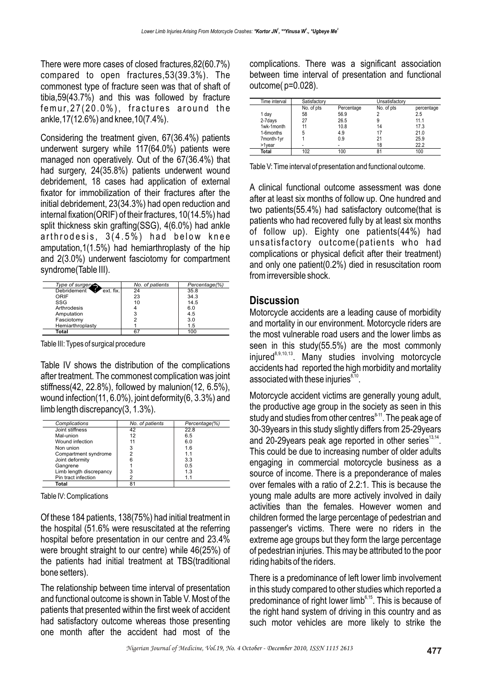There were more cases of closed fractures,82(60.7%) compared to open fractures,53(39.3%). The commonest type of fracture seen was that of shaft of tibia,59(43.7%) and this was followed by fracture femur,27(20.0%), fractures around the ankle,17(12.6%) and knee,10(7.4%).

Considering the treatment given, 67(36.4%) patients underwent surgery while 117(64.0%) patients were managed non operatively. Out of the 67(36.4%) that had surgery, 24(35.8%) patients underwent wound debridement, 18 cases had application of external fixator for immobilization of their fractures after the initial debridement, 23(34.3%) had open reduction and internal fixation(ORIF) of their fractures, 10(14.5%) had split thickness skin grafting(SSG), 4(6.0%) had ankle arthrodesis, 3(4.5%) had below knee amputation,1(1.5%) had hemiarthroplasty of the hip and 2(3.0%) underwent fasciotomy for compartment syndrome(Table III).

| Type of surgery          | No. of patients | Percentage(%) |
|--------------------------|-----------------|---------------|
| Debridement<br>ext. fix. | 24              | 35.8          |
| ORIF                     | 23              | 34.3          |
| SSG                      | 10              | 14.5          |
| Arthrodesis              |                 | 6.0           |
| Amputation               |                 | 4.5           |
| Fasciotomy               |                 | 3.0           |
| Hemiarthroplasty         |                 | 1.5           |
| Total                    |                 | 100           |

Table III: Types of surgical procedure

Table IV shows the distribution of the complications after treatment. The commonest complication was joint stiffness(42, 22.8%), followed by malunion(12, 6.5%), wound infection(11, 6.0%), joint deformity(6, 3.3%) and limb length discrepancy(3, 1.3%).

| Complications           | No. of patients | Percentage(%) |
|-------------------------|-----------------|---------------|
| Joint stiffness         | 42              | 22.8          |
| Mal-union               | 12              | 6.5           |
| Wound infection         | 11              | 6.0           |
| Non union               | 3               | 1.6           |
| Compartment syndrome    |                 | 1.1           |
| Joint deformity         | 6               | 3.3           |
| Gangrene                |                 | 0.5           |
| Limb length discrepancy | 3               | 1.3           |
| Pin tract infection     |                 | 1.1           |
| Total                   | 81              |               |

Table IV: Complications

Of these 184 patients, 138(75%) had initial treatment in the hospital (51.6% were resuscitated at the referring hospital before presentation in our centre and 23.4% were brought straight to our centre) while 46(25%) of the patients had initial treatment at TBS(traditional bone setters).

The relationship between time interval of presentation and functional outcome is shown in Table V. Most of the patients that presented within the first week of accident had satisfactory outcome whereas those presenting one month after the accident had most of the

complications. There was a significant association between time interval of presentation and functional outcome( p=0.028).

| Time interval | Satisfactory<br>Unsatisfactory |            |            |            |
|---------------|--------------------------------|------------|------------|------------|
|               | No. of pts                     | Percentage | No. of pts | percentage |
| 1 day         | 58                             | 56.9       |            | 2.5        |
| 2-7days       | 27                             | 26.5       |            | 11.1       |
| 1wk-1month    |                                | 10.8       | 14         | 17.3       |
| 1-6months     | 5                              | 4.9        | 17         | 21.0       |
| 7month-1yr    |                                | 0.9        | 21         | 25.9       |
| >1vear        | ۰                              | -          | 18         | 22.2       |
| Total         | 102                            | 100        | 81         | 100        |

Table V: Time interval of presentation and functional outcome.

A clinical functional outcome assessment was done after at least six months of follow up. One hundred and two patients(55.4%) had satisfactory outcome(that is patients who had recovered fully by at least six months of follow up). Eighty one patients(44%) had unsatisfactory outcome(patients who had complications or physical deficit after their treatment) and only one patient(0.2%) died in resuscitation room from irreversible shock.

## **Discussion**

Motorcycle accidents are a leading cause of morbidity and mortality in our environment. Motorcycle riders are the most vulnerable road users and the lower limbs as seen in this study(55.5%) are the most commonly  $injured<sup>8,9,10,13</sup>$ . Many studies involving motorcycle accidents had reported the high morbidity and mortality associated with these injuries $^{8,10}$ .

Motorcycle accident victims are generally young adult, the productive age group in the society as seen in this study and studies from other centres $^{\text{\tiny 8-11}}.$  The peak age of 30-39years in this study slightly differs from 25-29years and 20-29 vears peak age reported in other series  $13,14$ . This could be due to increasing number of older adults engaging in commercial motorcycle business as a source of income. There is a preponderance of males over females with a ratio of 2.2:1. This is because the young male adults are more actively involved in daily activities than the females. However women and children formed the large percentage of pedestrian and passenger's victims. There were no riders in the extreme age groups but they form the large percentage of pedestrian injuries. This may be attributed to the poor riding habits of the riders.

There is a predominance of left lower limb involvement in this study compared to other studies which reported a predominance of right lower limb<sup>6,15</sup>. This is because of the right hand system of driving in this country and as such motor vehicles are more likely to strike the